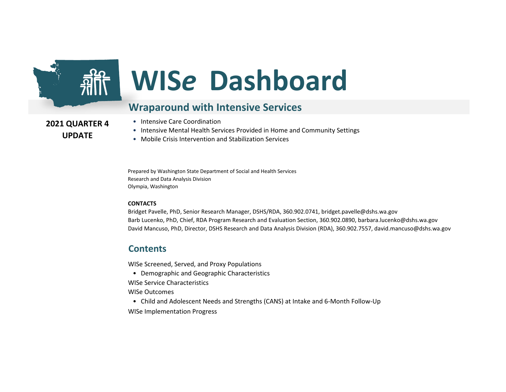

# **WIS***e* **Dashboard**

#### **Wraparound with Intensive Services**

**2021 QUARTER 4 UPDATE**

- Intensive Care Coordination
- Intensive Mental Health Services Provided in Home and Community Settings
- Mobile Crisis Intervention and Stabilization Services

Prepared by Washington State Department of Social and Health Services Research and Data Analysis Division Olympia, Washington

#### **CONTACTS**

Bridget Pavelle, PhD, Senior Research Manager, DSHS/RDA, 360.902.0741, bridget.pavelle@dshs.wa.gov Barb Lucenko, PhD, Chief, RDA Program Research and Evaluation Section, 360.902.0890, barbara.lucenko@dshs.wa.gov David Mancuso, PhD, Director, DSHS Research and Data Analysis Division (RDA), 360.902.7557, david.mancuso@dshs.wa.gov

#### **Contents**

WISe Screened, Served, and Proxy Populations

- Demographic and Geographic Characteristics
- WISe Service Characteristics
- WISe Outcomes
- Child and Adolescent Needs and Strengths (CANS) at Intake and 6-Month Follow-Up

WISe Implementation Progress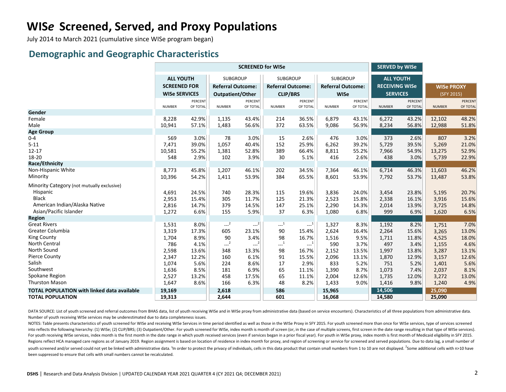# **WIS***e* **Screened, Served, and Proxy Populations**

July 2014 to March 2021 (cumulative since WISe program began)

#### **Demographic and Geographic Characteristics**

|                                                    | <b>SCREENED for WISe</b> |          |                          |                |                          |          |                          |          | <b>SERVED by WISe</b> |          |                   |          |
|----------------------------------------------------|--------------------------|----------|--------------------------|----------------|--------------------------|----------|--------------------------|----------|-----------------------|----------|-------------------|----------|
|                                                    | <b>ALL YOUTH</b>         |          | <b>SUBGROUP</b>          |                | <b>SUBGROUP</b>          |          | <b>SUBGROUP</b>          |          | <b>ALL YOUTH</b>      |          |                   |          |
|                                                    | <b>SCREENED FOR</b>      |          | <b>Referral Outcome:</b> |                | <b>Referral Outcome:</b> |          | <b>Referral Outcome:</b> |          | <b>RECEIVING WISe</b> |          | <b>WISe PROXY</b> |          |
|                                                    | <b>WISe SERVICES</b>     |          | Outpatient/Other         |                | <b>CLIP/BRS</b>          |          | <b>WISe</b>              |          | <b>SERVICES</b>       |          | (SFY 2015)        |          |
|                                                    |                          | PERCENT  |                          | <b>PERCENT</b> |                          | PERCENT  |                          | PERCENT  |                       | PERCENT  |                   | PERCENT  |
|                                                    | <b>NUMBER</b>            | OF TOTAL | <b>NUMBER</b>            | OF TOTAL       | <b>NUMBER</b>            | OF TOTAL | <b>NUMBER</b>            | OF TOTAL | <b>NUMBER</b>         | OF TOTAL | <b>NUMBER</b>     | OF TOTAL |
| Gender                                             |                          |          |                          |                |                          |          |                          |          |                       |          |                   |          |
| Female                                             | 8,228                    | 42.9%    | 1,135                    | 43.4%          | 214                      | 36.5%    | 6,879                    | 43.1%    | 6,272                 | 43.2%    | 12,102            | 48.2%    |
| Male                                               | 10,941                   | 57.1%    | 1,483                    | 56.6%          | 372                      | 63.5%    | 9,086                    | 56.9%    | 8,234                 | 56.8%    | 12,988            | 51.8%    |
| <b>Age Group</b>                                   |                          |          |                          |                |                          |          |                          |          |                       |          |                   |          |
| $0 - 4$                                            | 569                      | 3.0%     | 78                       | 3.0%           | 15                       | 2.6%     | 476                      | 3.0%     | 373                   | 2.6%     | 807               | 3.2%     |
| $5 - 11$                                           | 7,471                    | 39.0%    | 1,057                    | 40.4%          | 152                      | 25.9%    | 6,262                    | 39.2%    | 5,729                 | 39.5%    | 5,269             | 21.0%    |
| $12 - 17$                                          | 10,581                   | 55.2%    | 1,381                    | 52.8%          | 389                      | 66.4%    | 8,811                    | 55.2%    | 7,966                 | 54.9%    | 13,275            | 52.9%    |
| 18-20                                              | 548                      | 2.9%     | 102                      | 3.9%           | 30                       | 5.1%     | 416                      | 2.6%     | 438                   | 3.0%     | 5,739             | 22.9%    |
| Race/Ethnicity                                     |                          |          |                          |                |                          |          |                          |          |                       |          |                   |          |
| Non-Hispanic White                                 | 8,773                    | 45.8%    | 1,207                    | 46.1%          | 202                      | 34.5%    | 7,364                    | 46.1%    | 6,714                 | 46.3%    | 11,603            | 46.2%    |
| Minority                                           | 10,396                   | 54.2%    | 1,411                    | 53.9%          | 384                      | 65.5%    | 8,601                    | 53.9%    | 7,792                 | 53.7%    | 13,487            | 53.8%    |
| Minority Category (not mutually exclusive)         |                          |          |                          |                |                          |          |                          |          |                       |          |                   |          |
| Hispanic                                           | 4,691                    | 24.5%    | 740                      | 28.3%          | 115                      | 19.6%    | 3,836                    | 24.0%    | 3,454                 | 23.8%    | 5,195             | 20.7%    |
| <b>Black</b>                                       | 2,953                    | 15.4%    | 305                      | 11.7%          | 125                      | 21.3%    | 2,523                    | 15.8%    | 2,338                 | 16.1%    | 3,916             | 15.6%    |
| American Indian/Alaska Native                      | 2,816                    | 14.7%    | 379                      | 14.5%          | 147                      | 25.1%    | 2,290                    | 14.3%    | 2,014                 | 13.9%    | 3,725             | 14.8%    |
| Asian/Pacific Islander                             | 1,272                    | 6.6%     | 155                      | 5.9%           | 37                       | 6.3%     | 1,080                    | 6.8%     | 999                   | 6.9%     | 1,620             | 6.5%     |
| <b>Region</b>                                      |                          |          |                          |                |                          |          |                          |          |                       |          |                   |          |
| <b>Great Rivers</b>                                | 1,531                    | 8.0%     | $-2$                     | $-2$           | $\cdots$ <sup>1</sup>    | $-1$     | 1,327                    | 8.3%     | 1,192                 | 8.2%     | 1,751             | 7.0%     |
| Greater Columbia                                   | 3,319                    | 17.3%    | 605                      | 23.1%          | 90                       | 15.4%    | 2,624                    | 16.4%    | 2,264                 | 15.6%    | 3,265             | 13.0%    |
| <b>King County</b>                                 | 1,704                    | 8.9%     | 90                       | 3.4%           | 98                       | 16.7%    | 1,516                    | 9.5%     | 1,711                 | 11.8%    | 4,525             | 18.0%    |
| North Central                                      | 786                      | 4.1%     | $-2$                     | $---2$         | $\mathbf{L}^{-1}$        | $-1$     | 590                      | 3.7%     | 497                   | 3.4%     | 1,155             | 4.6%     |
| North Sound                                        | 2,598                    | 13.6%    | 348                      | 13.3%          | 98                       | 16.7%    | 2,152                    | 13.5%    | 1,997                 | 13.8%    | 3,287             | 13.1%    |
| <b>Pierce County</b>                               | 2,347                    | 12.2%    | 160                      | 6.1%           | 91                       | 15.5%    | 2,096                    | 13.1%    | 1,870                 | 12.9%    | 3,157             | 12.6%    |
| Salish                                             | 1,074                    | 5.6%     | 224                      | 8.6%           | 17                       | 2.9%     | 833                      | 5.2%     | 751                   | 5.2%     | 1,401             | 5.6%     |
| Southwest                                          | 1,636                    | 8.5%     | 181                      | 6.9%           | 65                       | 11.1%    | 1,390                    | 8.7%     | 1,073                 | 7.4%     | 2,037             | 8.1%     |
| Spokane Region                                     | 2,527                    | 13.2%    | 458                      | 17.5%          | 65                       | 11.1%    | 2,004                    | 12.6%    | 1,735                 | 12.0%    | 3,272             | 13.0%    |
| <b>Thurston Mason</b>                              | 1,647                    | 8.6%     | 166                      | 6.3%           | 48                       | 8.2%     | 1,433                    | 9.0%     | 1,416                 | 9.8%     | 1,240             | 4.9%     |
| <b>TOTAL POPULATION with linked data available</b> | 19,169                   |          | 2,618                    |                | 586                      |          | 15,965                   |          | 14,506                |          | 25,090            |          |
| <b>TOTAL POPULATION</b>                            | 19,313                   |          | 2,644                    |                | 601                      |          | 16,068                   |          | 14,580                |          | 25,090            |          |

DATA SOURCE: List of youth screened and referral outcomes from BHAS data, list of youth receiving WISe and in WISe proxy from administrative data (based on service encounters). Characteristics of all three populations from Number of youth receiving WISe services may be underestimated due to data completeness issues.

NOTES: Table presents characteristics of youth screened for WISe and receiving WISe Services in time period identified as well as those in the WISe Proxy in SFY 2015. For youth screened more than once for WISe services, ty into reflects the following hierarchy: (1) WISe; (2) CLIP/BRS; (3) Outpatient/Other. For youth screened for WISe, index month is month of screen (or, in the case of multiple screens, first screen in the date range resultin For youth receiving WISe services, index month is the first month in the date range in which youth received services (even if services began in a prior fiscal year). For youth in WISe proxy, index month is first month of M Regions reflect HCA managed care regions as of January 2019. Region assignment is based on location of residence in index month for proxy, and region of screening or service for screened and served populations. Due to data youth screened and/or served could not yet be linked with administrative data. <sup>1</sup>In order to protect the privacy of individuals, cells in this data product that contain small numbers from 1 to 10 are not displayed. <sup>2</sup>Som been suppressed to ensure that cells with small numbers cannot be recalculated.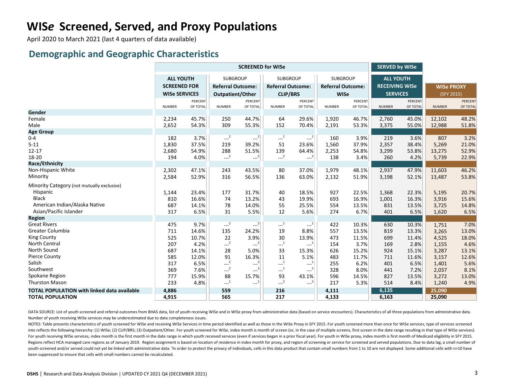# **WIS***e* **Screened, Served, and Proxy Populations**

April 2020 to March 2021 (last 4 quarters of data available)

#### **Demographic and Geographic Characteristics**

|                                                    | <b>SCREENED for WISe</b> |          |                          |                                |                                                    |                       |                          |          | <b>SERVED by WISe</b> |          |                   |          |
|----------------------------------------------------|--------------------------|----------|--------------------------|--------------------------------|----------------------------------------------------|-----------------------|--------------------------|----------|-----------------------|----------|-------------------|----------|
|                                                    | <b>ALL YOUTH</b>         |          | <b>SUBGROUP</b>          |                                | <b>SUBGROUP</b>                                    |                       | <b>SUBGROUP</b>          |          | <b>ALL YOUTH</b>      |          |                   |          |
|                                                    | <b>SCREENED FOR</b>      |          | <b>Referral Outcome:</b> |                                | <b>Referral Outcome:</b>                           |                       | <b>Referral Outcome:</b> |          | <b>RECEIVING WISe</b> |          | <b>WISe PROXY</b> |          |
|                                                    | <b>WISe SERVICES</b>     |          | Outpatient/Other         |                                | <b>CLIP/BRS</b>                                    |                       | <b>WISe</b>              |          | <b>SERVICES</b>       |          | (SFY 2015)        |          |
|                                                    |                          | PERCENT  |                          | <b>PERCENT</b>                 |                                                    | PERCENT               |                          | PERCENT  |                       | PERCENT  |                   | PERCENT  |
|                                                    | <b>NUMBER</b>            | OF TOTAL | <b>NUMBER</b>            | OF TOTAL                       | <b>NUMBER</b>                                      | OF TOTAL              | <b>NUMBER</b>            | OF TOTAL | <b>NUMBER</b>         | OF TOTAL | <b>NUMBER</b>     | OF TOTAL |
| Gender                                             |                          |          |                          |                                |                                                    |                       |                          |          |                       |          |                   |          |
| Female                                             | 2,234                    | 45.7%    | 250                      | 44.7%                          | 64                                                 | 29.6%                 | 1,920                    | 46.7%    | 2,760                 | 45.0%    | 12,102            | 48.2%    |
| Male                                               | 2,652                    | 54.3%    | 309                      | 55.3%                          | 152                                                | 70.4%                 | 2,191                    | 53.3%    | 3,375                 | 55.0%    | 12,988            | 51.8%    |
| <b>Age Group</b>                                   |                          |          |                          |                                |                                                    |                       |                          |          |                       |          |                   |          |
| $0 - 4$                                            | 182                      | 3.7%     | $-2$                     | $\left  \frac{2}{\pi} \right $ | $\cdots$ <sup>1</sup>                              | $\cdots$ <sup>1</sup> | 160                      | 3.9%     | 219                   | 3.6%     | 807               | 3.2%     |
| $5 - 11$                                           | 1,830                    | 37.5%    | 219                      | 39.2%                          | 51                                                 | 23.6%                 | 1,560                    | 37.9%    | 2,357                 | 38.4%    | 5,269             | 21.0%    |
| $12 - 17$                                          | 2,680                    | 54.9%    | 288                      | 51.5%                          | 139                                                | 64.4%                 | 2,253                    | 54.8%    | 3,299                 | 53.8%    | 13,275            | 52.9%    |
| 18-20                                              | 194                      | 4.0%     | $-2$                     | $\left  \frac{2}{\pi} \right $ | $-2$                                               | $-2$ <sup>2</sup>     | 138                      | 3.4%     | 260                   | 4.2%     | 5,739             | 22.9%    |
| Race/Ethnicity                                     |                          |          |                          |                                |                                                    |                       |                          |          |                       |          |                   |          |
| Non-Hispanic White                                 | 2,302                    | 47.1%    | 243                      | 43.5%                          | 80                                                 | 37.0%                 | 1,979                    | 48.1%    | 2,937                 | 47.9%    | 11,603            | 46.2%    |
| Minority                                           | 2,584                    | 52.9%    | 316                      | 56.5%                          | 136                                                | 63.0%                 | 2,132                    | 51.9%    | 3,198                 | 52.1%    | 13,487            | 53.8%    |
| Minority Category (not mutually exclusive)         |                          |          |                          |                                |                                                    |                       |                          |          |                       |          |                   |          |
| Hispanic                                           | 1,144                    | 23.4%    | 177                      | 31.7%                          | 40                                                 | 18.5%                 | 927                      | 22.5%    | 1,368                 | 22.3%    | 5,195             | 20.7%    |
| <b>Black</b>                                       | 810                      | 16.6%    | 74                       | 13.2%                          | 43                                                 | 19.9%                 | 693                      | 16.9%    | 1,001                 | 16.3%    | 3,916             | 15.6%    |
| American Indian/Alaska Native                      | 687                      | 14.1%    | 78                       | 14.0%                          | 55                                                 | 25.5%                 | 554                      | 13.5%    | 831                   | 13.5%    | 3,725             | 14.8%    |
| Asian/Pacific Islander                             | 317                      | 6.5%     | 31                       | 5.5%                           | 12                                                 | 5.6%                  | 274                      | 6.7%     | 401                   | 6.5%     | 1,620             | 6.5%     |
| <b>Region</b>                                      |                          |          |                          |                                |                                                    |                       |                          |          |                       |          |                   |          |
| <b>Great Rivers</b>                                | 475                      | 9.7%     | $-2$                     | $---2$                         | $\cdots$ <sup>1</sup>                              | $\mathbb{L}^1$        | 422                      | 10.3%    | 630                   | 10.3%    | 1,751             | 7.0%     |
| Greater Columbia                                   | 711                      | 14.6%    | 135                      | 24.2%                          | 19                                                 | 8.8%                  | 557                      | 13.5%    | 819                   | 13.3%    | 3,265             | 13.0%    |
| <b>King County</b>                                 | 525                      | 10.7%    | 22                       | 3.9%                           | 30                                                 | 13.9%                 | 473                      | 11.5%    | 699                   | 11.4%    | 4,525             | 18.0%    |
| North Central                                      | 207                      | 4.2%     | $-2$                     | $---2$                         | $\begin{smallmatrix} &1\\&\ddots\end{smallmatrix}$ | $\cdots$ <sup>1</sup> | 154                      | 3.7%     | 169                   | 2.8%     | 1,155             | 4.6%     |
| North Sound                                        | 687                      | 14.1%    | 28                       | 5.0%                           | 33                                                 | 15.3%                 | 626                      | 15.2%    | 924                   | 15.1%    | 3,287             | 13.1%    |
| <b>Pierce County</b>                               | 585                      | 12.0%    | 91                       | 16.3%                          | 11                                                 | 5.1%                  | 483                      | 11.7%    | 711                   | 11.6%    | 3,157             | 12.6%    |
| Salish                                             | 317                      | 6.5%     | $-L^2$                   | $---2$                         | $\begin{smallmatrix} &1\\1&\\&\end{smallmatrix}$   | $\cdots$ <sup>1</sup> | 255                      | 6.2%     | 401                   | 6.5%     | 1,401             | 5.6%     |
| Southwest                                          | 369                      | 7.6%     | $-2$                     | $-2$                           | $\sim$ <sup>1</sup>                                | $\mathbf{L}^{-1}$     | 328                      | 8.0%     | 441                   | 7.2%     | 2,037             | 8.1%     |
| Spokane Region                                     | 777                      | 15.9%    | 88                       | 15.7%                          | 93                                                 | 43.1%                 | 596                      | 14.5%    | 827                   | 13.5%    | 3,272             | 13.0%    |
| <b>Thurston Mason</b>                              | 233                      | 4.8%     | $-1$                     | $\sim$ <sup>1</sup>            | $--2$                                              | $-2$                  | 217                      | 5.3%     | 514                   | 8.4%     | 1,240             | 4.9%     |
| <b>TOTAL POPULATION with linked data available</b> | 4,886                    |          | 559                      |                                | 216                                                |                       | 4,111                    |          | 6,135                 |          | 25,090            |          |
| <b>TOTAL POPULATION</b>                            | 4,915                    |          | 565                      |                                | 217                                                |                       | 4,133                    |          | 6,163                 |          | 25,090            |          |

DATA SOURCE: List of youth screened and referral outcomes from BHAS data, list of youth receiving WISe and in WISe proxy from administrative data (based on service encounters). Characteristics of all three populations from Number of youth receiving WISe services may be underestimated due to data completeness issues.

NOTES: Table presents characteristics of youth screened for WISe and receiving WISe Services in time period identified as well as those in the WISe Proxy in SFY 2015. For youth screened more than once for WISe services, ty into reflects the following hierarchy: (1) WISe; (2) CLIP/BRS; (3) Outpatient/Other. For youth screened for WISe, index month is month of screen (or, in the case of multiple screens, first screen in the date range resultin For youth receiving WISe services, index month is the first month in the date range in which youth received services (even if services began in a prior fiscal year). For youth in WISe proxy, index month is first month of M Regions reflect HCA managed care regions as of January 2019. Region assignment is based on location of residence in index month for proxy, and region of screening or service for screened and served populations. Due to data youth screened and/or served could not yet be linked with administrative data. <sup>1</sup>In order to protect the privacy of individuals, cells in this data product that contain small numbers from 1 to 10 are not displayed. Some a been suppressed to ensure that cells with small numbers cannot be recalculated.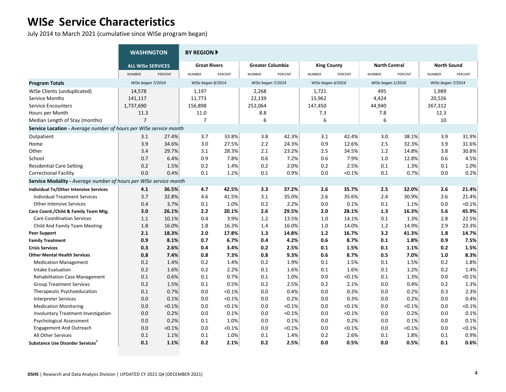July 2014 to March 2021 (cumulative since WISe program began)

|                                                                   | <b>WASHINGTON</b>        |         | <b>BY REGION F</b>  |         |                         |         |                    |           |                      |         |                    |           |
|-------------------------------------------------------------------|--------------------------|---------|---------------------|---------|-------------------------|---------|--------------------|-----------|----------------------|---------|--------------------|-----------|
|                                                                   | <b>ALL WISe SERVICES</b> |         | <b>Great Rivers</b> |         | <b>Greater Columbia</b> |         | <b>King County</b> |           | <b>North Central</b> |         | <b>North Sound</b> |           |
|                                                                   | <b>NUMBER</b>            | PERCENT | <b>NUMBER</b>       | PERCENT | <b>NUMBER</b>           | PERCENT | <b>NUMBER</b>      | PERCENT   | <b>NUMBER</b>        | PERCENT | <b>NUMBER</b>      | PERCENT   |
| <b>Program Totals</b>                                             | WISe began 7/2014        |         | WISe began 8/2014   |         | WISe began 7/2014       |         | WISe began 4/2016  |           | WISe began 1/2016    |         | WISe began 7/2014  |           |
| WISe Clients (unduplicated)                                       | 14,578                   |         | 1,197               |         | 2,268                   |         | 1,721              |           | 495                  |         | 1,989              |           |
| Service Months                                                    | 141,117                  |         | 11,773              |         | 22,139                  |         | 15,962             |           | 4,424                |         | 20,526             |           |
| <b>Service Encounters</b>                                         | 1,737,690                |         | 156,898             |         | 252,064                 |         | 147,450            |           | 44,940               |         | 267,312            |           |
| Hours per Month                                                   | 11.3                     |         | 11.0                |         | 8.8                     |         | 7.3                |           | 7.8                  |         | 12.3               |           |
| Median Length of Stay (months)                                    | $\overline{7}$           |         | $\overline{7}$      |         | 6                       |         | 6                  |           | 6                    |         | 10                 |           |
| Service Location - Average number of hours per WISe service month |                          |         |                     |         |                         |         |                    |           |                      |         |                    |           |
| Outpatient                                                        | 3.1                      | 27.4%   | 3.7                 | 33.8%   | 3.8                     | 42.3%   | 3.1                | 42.4%     | 3.0                  | 38.1%   | 3.9                | 31.9%     |
| Home                                                              | 3.9                      | 34.6%   | 3.0                 | 27.5%   | 2.2                     | 24.3%   | 0.9                | 12.6%     | 2.5                  | 32.3%   | 3.9                | 31.6%     |
| Other                                                             | 3.4                      | 29.7%   | 3.1                 | 28.3%   | 2.1                     | 23.2%   | 2.5                | 34.5%     | 1.2                  | 14.8%   | 3.8                | 30.8%     |
| School                                                            | 0.7                      | 6.4%    | 0.9                 | 7.8%    | 0.6                     | 7.2%    | 0.6                | 7.9%      | 1.0                  | 12.8%   | 0.6                | 4.5%      |
| <b>Residential Care Setting</b>                                   | 0.2                      | 1.5%    | 0.2                 | 1.4%    | 0.2                     | 2.0%    | 0.2                | 2.5%      | 0.1                  | 1.3%    | 0.1                | 1.0%      |
| <b>Correctional Facility</b>                                      | 0.0                      | 0.4%    | 0.1                 | 1.2%    | 0.1                     | 0.9%    | 0.0                | $< 0.1\%$ | 0.1                  | 0.7%    | 0.0                | 0.2%      |
| Service Modality - Average number of hours per WISe service month |                          |         |                     |         |                         |         |                    |           |                      |         |                    |           |
| Individual Tx/Other Intensive Services                            | 4.1                      | 36.5%   | 4.7                 | 42.5%   | 3.3                     | 37.2%   | 2.6                | 35.7%     | 2.5                  | 32.0%   | 2.6                | 21.4%     |
| Individual Treatment Services                                     | 3.7                      | 32.8%   | 4.6                 | 41.5%   | 3.1                     | 35.0%   | 2.6                | 35.6%     | 2.4                  | 30.9%   | 2.6                | 21.4%     |
| <b>Other Intensive Services</b>                                   | 0.4                      | 3.7%    | 0.1                 | 1.0%    | 0.2                     | 2.2%    | 0.0                | 0.1%      | 0.1                  | 1.1%    | 0.0                | $< 0.1\%$ |
| Care Coord./Child & Family Team Mtg.                              | 3.0                      | 26.1%   | 2.2                 | 20.1%   | 2.6                     | 29.5%   | 2.0                | 28.1%     | 1.3                  | 16.3%   | 5.6                | 45.9%     |
| <b>Care Coordination Services</b>                                 | 1.1                      | 10.1%   | 0.4                 | 3.9%    | 1.2                     | 13.5%   | 1.0                | 14.1%     | 0.1                  | 1.3%    | 2.8                | 22.5%     |
| Child And Family Team Meeting                                     | 1.8                      | 16.0%   | 1.8                 | 16.3%   | 1.4                     | 16.0%   | 1.0                | 14.0%     | $1.2\,$              | 14.9%   | 2.9                | 23.3%     |
| <b>Peer Support</b>                                               | 2.1                      | 18.3%   | 2.0                 | 17.8%   | 1.3                     | 14.8%   | $1.2$              | 16.7%     | 3.2                  | 41.3%   | 1.8                | 14.7%     |
| <b>Family Treatment</b>                                           | 0.9                      | 8.1%    | 0.7                 | 6.7%    | 0.4                     | 4.2%    | 0.6                | 8.7%      | 0.1                  | 1.8%    | 0.9                | 7.5%      |
| <b>Crisis Services</b>                                            | 0.3                      | 2.6%    | 0.4                 | 3.4%    | 0.2                     | 2.5%    | 0.1                | 1.5%      | 0.1                  | 1.1%    | 0.2                | 1.5%      |
| <b>Other Mental Health Services</b>                               | 0.8                      | 7.4%    | 0.8                 | 7.3%    | 0.8                     | 9.3%    | 0.6                | 8.7%      | 0.5                  | 7.0%    | 1.0                | 8.3%      |
| <b>Medication Management</b>                                      | 0.2                      | 1.4%    | 0.2                 | 1.4%    | 0.2                     | 1.9%    | 0.1                | 1.5%      | 0.1                  | 1.5%    | 0.2                | 1.8%      |
| Intake Evaluation                                                 | 0.2                      | 1.6%    | 0.2                 | 2.2%    | 0.1                     | 1.6%    | 0.1                | 1.6%      | 0.1                  | 1.2%    | 0.2                | 1.4%      |
| <b>Rehabilitation Case Management</b>                             | 0.1                      | 0.6%    | 0.1                 | 0.7%    | 0.1                     | 1.0%    | 0.0                | < 0.1%    | 0.1                  | 1.3%    | 0.0                | $< 0.1\%$ |
| <b>Group Treatment Services</b>                                   | 0.2                      | 1.5%    | 0.1                 | 0.5%    | 0.2                     | 2.5%    | 0.2                | 2.1%      | 0.0                  | 0.4%    | 0.2                | 1.3%      |
| Therapeutic Psychoeducation                                       | 0.1                      | 0.7%    | 0.0                 | < 0.1%  | 0.0                     | 0.4%    | 0.0                | 0.3%      | 0.0                  | 0.2%    | 0.3                | 2.3%      |
| <b>Interpreter Services</b>                                       | 0.0                      | 0.1%    | 0.0                 | < 0.1%  | 0.0                     | 0.2%    | 0.0                | 0.3%      | 0.0                  | 0.2%    | 0.0                | 0.4%      |
| <b>Medication Monitoring</b>                                      | 0.0                      | < 0.1%  | 0.0                 | < 0.1%  | 0.0                     | < 0.1%  | 0.0                | < 0.1%    | 0.0                  | < 0.1%  | 0.0                | < 0.1%    |
| Involuntary Treatment Investigation                               | 0.0                      | 0.2%    | 0.0                 | 0.1%    | 0.0                     | < 0.1%  | 0.0                | < 0.1%    | 0.0                  | 0.2%    | 0.0                | 0.1%      |
| Psychological Assessment                                          | 0.0                      | 0.2%    | 0.1                 | 1.0%    | 0.0                     | 0.1%    | 0.0                | 0.2%      | 0.0                  | 0.1%    | 0.0                | 0.1%      |
| <b>Engagement And Outreach</b>                                    | 0.0                      | < 0.1%  | 0.0                 | < 0.1%  | 0.0                     | < 0.1%  | 0.0                | < 0.1%    | 0.0                  | < 0.1%  | 0.0                | < 0.1%    |
| All Other Services                                                | $0.1\,$                  | 1.1%    | 0.1                 | 1.0%    | 0.1                     | 1.4%    | 0.2                | 2.6%      | 0.1                  | 1.8%    | 0.1                | 0.9%      |
| Substance Use Disorder Services <sup>1</sup>                      | 0.1                      | 1.1%    | 0.2                 | 2.1%    | 0.2                     | 2.5%    | 0.0                | 0.5%      | 0.0                  | 0.5%    | 0.1                | 0.6%      |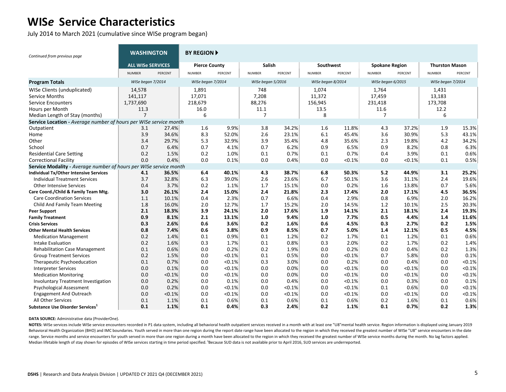July 2014 to March 2021 (cumulative since WISe program began)

| Continued from previous page                                      | <b>WASHINGTON</b>        |                    | <b>BY REGION ▶</b>   |         |                   |         |                   |         |                       |         |                       |         |
|-------------------------------------------------------------------|--------------------------|--------------------|----------------------|---------|-------------------|---------|-------------------|---------|-----------------------|---------|-----------------------|---------|
|                                                                   | <b>ALL WISe SERVICES</b> |                    | <b>Pierce County</b> |         | Salish            |         | Southwest         |         | <b>Spokane Region</b> |         | <b>Thurston Mason</b> |         |
|                                                                   | <b>NUMBER</b>            | PERCENT            | <b>NUMBER</b>        | PERCENT | <b>NUMBER</b>     | PERCENT | <b>NUMBER</b>     | PERCENT | <b>NUMBER</b>         | PERCENT | <b>NUMBER</b>         | PERCENT |
| <b>Program Totals</b>                                             | WISe began 7/2014        |                    | WISe began 7/2014    |         | WISe began 5/2016 |         | WISe began 8/2014 |         | WISe began 6/2015     |         | WISe began 7/2014     |         |
| WISe Clients (unduplicated)                                       | 14,578                   |                    | 1,891                |         | 748               |         | 1,074             |         | 1,764                 |         | 1,431                 |         |
| <b>Service Months</b>                                             | 141,117                  |                    | 17,071               |         | 7,208             |         | 11,372            |         | 17,459                |         | 13,183                |         |
| <b>Service Encounters</b>                                         | 1,737,690                |                    | 218,679              |         | 88,276            |         | 156,945           |         | 231,418               |         | 173,708               |         |
| Hours per Month                                                   | 11.3                     |                    | 16.0                 |         | 11.1              |         | 13.5              |         | 11.6                  |         | 12.2                  |         |
| Median Length of Stay (months)                                    | $\overline{7}$           |                    | 6                    |         | $\overline{7}$    |         | 8                 |         | 7                     |         | 6                     |         |
| Service Location - Average number of hours per WISe service month |                          |                    |                      |         |                   |         |                   |         |                       |         |                       |         |
| Outpatient                                                        | 3.1                      | 27.4%              | 1.6                  | 9.9%    | 3.8               | 34.2%   | 1.6               | 11.8%   | 4.3                   | 37.2%   | 1.9                   | 15.3%   |
| Home                                                              | 3.9                      | 34.6%              | 8.3                  | 52.0%   | 2.6               | 23.1%   | 6.1               | 45.4%   | 3.6                   | 30.9%   | 5.3                   | 43.1%   |
| Other                                                             | 3.4                      | 29.7%              | 5.3                  | 32.9%   | 3.9               | 35.4%   | 4.8               | 35.6%   | 2.3                   | 19.8%   | 4.2                   | 34.2%   |
| School                                                            | 0.7                      | 6.4%               | 0.7                  | 4.1%    | 0.7               | 6.2%    | 0.9               | 6.5%    | 0.9                   | 8.2%    | 0.8                   | 6.3%    |
| <b>Residential Care Setting</b>                                   | 0.2                      | 1.5%               | 0.2                  | 1.0%    | 0.1               | 0.7%    | 0.1               | 0.7%    | 0.4                   | 3.9%    | 0.1                   | 0.6%    |
| <b>Correctional Facility</b>                                      | 0.0                      | 0.4%               | 0.0                  | 0.1%    | 0.0               | 0.4%    | 0.0               | < 0.1%  | 0.0                   | < 0.1%  | 0.1                   | 0.5%    |
| Service Modality - Average number of hours per                    |                          | WISe service month |                      |         |                   |         |                   |         |                       |         |                       |         |
| <b>Individual Tx/Other Intensive Services</b>                     | 4.1                      | 36.5%              | 6.4                  | 40.1%   | 4.3               | 38.7%   | 6.8               | 50.3%   | 5.2                   | 44.9%   | 3.1                   | 25.2%   |
| <b>Individual Treatment Services</b>                              | 3.7                      | 32.8%              | 6.3                  | 39.0%   | 2.6               | 23.6%   | 6.7               | 50.1%   | 3.6                   | 31.1%   | 2.4                   | 19.6%   |
| <b>Other Intensive Services</b>                                   | 0.4                      | 3.7%               | 0.2                  | 1.1%    | 1.7               | 15.1%   | 0.0               | 0.2%    | 1.6                   | 13.8%   | 0.7                   | 5.6%    |
| Care Coord./Child & Family Team Mtg.                              | 3.0                      | 26.1%              | 2.4                  | 15.0%   | 2.4               | 21.8%   | 2.3               | 17.4%   | 2.0                   | 17.1%   | 4.5                   | 36.5%   |
| <b>Care Coordination Services</b>                                 | 1.1                      | 10.1%              | 0.4                  | 2.3%    | 0.7               | 6.6%    | 0.4               | 2.9%    | 0.8                   | 6.9%    | 2.0                   | 16.2%   |
| Child And Family Team Meeting                                     | 1.8                      | 16.0%              | 2.0                  | 12.7%   | 1.7               | 15.2%   | 2.0               | 14.5%   | 1.2                   | 10.1%   | 2.5                   | 20.3%   |
| <b>Peer Support</b>                                               | 2.1                      | 18.3%              | 3.9                  | 24.1%   | 2.0               | 17.6%   | 1.9               | 14.1%   | 2.1                   | 18.1%   | 2.4                   | 19.3%   |
| <b>Family Treatment</b>                                           | 0.9                      | 8.1%               | 2.1                  | 13.1%   | 1.0               | 9.4%    | 1.0               | 7.7%    | 0.5                   | 4.4%    | 1.4                   | 11.6%   |
| <b>Crisis Services</b>                                            | 0.3                      | 2.6%               | 0.6                  | 3.6%    | 0.2               | 1.6%    | 0.6               | 4.5%    | 0.3                   | 2.7%    | 0.2                   | 1.5%    |
| <b>Other Mental Health Services</b>                               | 0.8                      | 7.4%               | 0.6                  | 3.8%    | 0.9               | 8.5%    | 0.7               | 5.0%    | 1.4                   | 12.1%   | 0.5                   | 4.5%    |
| <b>Medication Management</b>                                      | 0.2                      | 1.4%               | 0.1                  | 0.9%    | 0.1               | 1.2%    | 0.2               | 1.7%    | 0.1                   | 1.2%    | 0.1                   | 0.6%    |
| Intake Evaluation                                                 | 0.2                      | 1.6%               | 0.3                  | 1.7%    | 0.1               | 0.8%    | 0.3               | 2.0%    | 0.2                   | 1.7%    | 0.2                   | 1.4%    |
| <b>Rehabilitation Case Management</b>                             | 0.1                      | 0.6%               | 0.0                  | 0.2%    | 0.2               | 1.9%    | 0.0               | 0.2%    | 0.0                   | 0.4%    | 0.2                   | 1.3%    |
| <b>Group Treatment Services</b>                                   | 0.2                      | 1.5%               | 0.0                  | < 0.1%  | 0.1               | 0.5%    | 0.0               | < 0.1%  | 0.7                   | 5.8%    | 0.0                   | 0.1%    |
| Therapeutic Psychoeducation                                       | 0.1                      | 0.7%               | 0.0                  | < 0.1%  | 0.3               | 3.0%    | 0.0               | 0.2%    | 0.0                   | 0.4%    | 0.0                   | < 0.1%  |
| <b>Interpreter Services</b>                                       | 0.0                      | 0.1%               | 0.0                  | < 0.1%  | 0.0               | 0.0%    | 0.0               | < 0.1%  | 0.0                   | < 0.1%  | 0.0                   | < 0.1%  |
| <b>Medication Monitoring</b>                                      | 0.0                      | < 0.1%             | 0.0                  | < 0.1%  | 0.0               | 0.0%    | 0.0               | < 0.1%  | 0.0                   | < 0.1%  | 0.0                   | < 0.1%  |
| <b>Involuntary Treatment Investigation</b>                        | 0.0                      | 0.2%               | 0.0                  | 0.1%    | 0.0               | 0.4%    | 0.0               | < 0.1%  | 0.0                   | 0.3%    | 0.0                   | 0.1%    |
| <b>Psychological Assessment</b>                                   | 0.0                      | 0.2%               | 0.0                  | < 0.1%  | 0.0               | < 0.1%  | 0.0               | < 0.1%  | 0.1                   | 0.6%    | 0.0                   | < 0.1%  |
| <b>Engagement And Outreach</b>                                    | 0.0                      | < 0.1%             | 0.0                  | < 0.1%  | 0.0               | < 0.1%  | 0.0               | < 0.1%  | 0.0                   | < 0.1%  | 0.0                   | < 0.1%  |
| All Other Services                                                | 0.1                      | 1.1%               | 0.1                  | 0.6%    | 0.1               | 0.6%    | 0.1               | 0.6%    | 0.2                   | 1.6%    | 0.1                   | 0.6%    |
| Substance Use Disorder Services <sup>1</sup>                      | 0.1                      | 1.1%               | 0.1                  | 0.4%    | 0.3               | 2.4%    | 0.2               | 1.1%    | 0.1                   | 0.7%    | 0.2                   | 1.3%    |

**DATA SOURCE:** Administrative data (ProviderOne).

NOTES: WISe services include WISe service encounters recorded in P1 data system, including all behavioral health outpatient services received in a month with at least one "U8"mental health service. Region information is di Behavioral Health Organization (BHO) and IMC boundaries. Youth served in more than one region during the report date range have been allocated to the region in which they received the greatest number of WISe "U8" service e range. Service months and service encounters for youth served in more than one region during a month have been allocated to the region in which they received the greatest number of WISe service months during the month. No Median lifetable length of stay shown for episodes of WISe services starting in time period specified. 'Because SUD data is not available prior to April 2016, SUD services are underreported.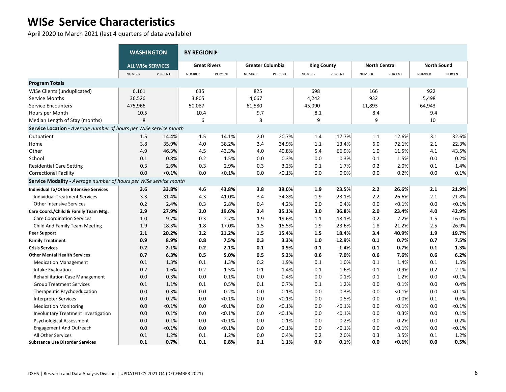April 2020 to March 2021 (last 4 quarters of data available)

|                                                                          | <b>WASHINGTON</b>        |         | <b>BY REGION F</b>  |           |                         |         |                    |         |                      |           |                    |         |
|--------------------------------------------------------------------------|--------------------------|---------|---------------------|-----------|-------------------------|---------|--------------------|---------|----------------------|-----------|--------------------|---------|
|                                                                          | <b>ALL WISe SERVICES</b> |         | <b>Great Rivers</b> |           | <b>Greater Columbia</b> |         | <b>King County</b> |         | <b>North Central</b> |           | <b>North Sound</b> |         |
|                                                                          | <b>NUMBER</b>            | PERCENT | <b>NUMBER</b>       | PERCENT   | <b>NUMBER</b>           | PERCENT | <b>NUMBER</b>      | PERCENT | <b>NUMBER</b>        | PERCENT   | <b>NUMBER</b>      | PERCENT |
| <b>Program Totals</b>                                                    |                          |         |                     |           |                         |         |                    |         |                      |           |                    |         |
| WISe Clients (unduplicated)                                              | 6,161                    |         | 635                 |           | 825                     |         | 698                |         | 166                  |           | 922                |         |
| Service Months                                                           | 36,526                   |         | 3,805               |           | 4,667                   |         | 4,242              |         | 932                  |           | 5,498              |         |
| <b>Service Encounters</b>                                                | 475,966                  |         | 50,087              |           | 61,580                  |         | 45,090             |         | 11,893               |           | 64,943             |         |
| Hours per Month                                                          | 10.5                     |         | 10.4                |           | 9.7                     |         | 8.1                |         | 8.4                  |           | 9.4                |         |
| Median Length of Stay (months)                                           | 8                        |         | 6                   |           | 8                       |         | 9                  |         | 9                    |           | 10                 |         |
| <b>Service Location - Average number of hours per WISe service month</b> |                          |         |                     |           |                         |         |                    |         |                      |           |                    |         |
| Outpatient                                                               | 1.5                      | 14.4%   | 1.5                 | 14.1%     | 2.0                     | 20.7%   | 1.4                | 17.7%   | 1.1                  | 12.6%     | 3.1                | 32.6%   |
| Home                                                                     | 3.8                      | 35.9%   | 4.0                 | 38.2%     | 3.4                     | 34.9%   | 1.1                | 13.4%   | 6.0                  | 72.1%     | 2.1                | 22.3%   |
| Other                                                                    | 4.9                      | 46.3%   | 4.5                 | 43.3%     | 4.0                     | 40.8%   | 5.4                | 66.9%   | 1.0                  | 11.5%     | 4.1                | 43.5%   |
| School                                                                   | 0.1                      | 0.8%    | 0.2                 | 1.5%      | 0.0                     | 0.3%    | 0.0                | 0.3%    | 0.1                  | 1.5%      | 0.0                | 0.2%    |
| <b>Residential Care Setting</b>                                          | 0.3                      | 2.6%    | 0.3                 | 2.9%      | 0.3                     | 3.2%    | 0.1                | 1.7%    | 0.2                  | 2.0%      | 0.1                | 1.4%    |
| <b>Correctional Facility</b>                                             | 0.0                      | < 0.1%  | 0.0                 | < 0.1%    | 0.0                     | < 0.1%  | 0.0                | 0.0%    | 0.0                  | 0.2%      | 0.0                | 0.1%    |
| Service Modality - Average number of hours per WISe service month        |                          |         |                     |           |                         |         |                    |         |                      |           |                    |         |
| Individual Tx/Other Intensive Services                                   | 3.6                      | 33.8%   | 4.6                 | 43.8%     | 3.8                     | 39.0%   | 1.9                | 23.5%   | 2.2                  | 26.6%     | 2.1                | 21.9%   |
| <b>Individual Treatment Services</b>                                     | 3.3                      | 31.4%   | 4.3                 | 41.0%     | 3.4                     | 34.8%   | 1.9                | 23.1%   | 2.2                  | 26.6%     | 2.1                | 21.8%   |
| <b>Other Intensive Services</b>                                          | 0.2                      | 2.4%    | 0.3                 | 2.8%      | 0.4                     | 4.2%    | 0.0                | 0.4%    | 0.0                  | < 0.1%    | 0.0                | < 0.1%  |
| Care Coord./Child & Family Team Mtg.                                     | 2.9                      | 27.9%   | 2.0                 | 19.6%     | 3.4                     | 35.1%   | 3.0                | 36.8%   | 2.0                  | 23.4%     | 4.0                | 42.9%   |
| <b>Care Coordination Services</b>                                        | 1.0                      | 9.7%    | 0.3                 | 2.7%      | 1.9                     | 19.6%   | 1.1                | 13.1%   | 0.2                  | 2.2%      | 1.5                | 16.0%   |
| Child And Family Team Meeting                                            | 1.9                      | 18.3%   | $1.8\,$             | 17.0%     | 1.5                     | 15.5%   | 1.9                | 23.6%   | 1.8                  | 21.2%     | 2.5                | 26.9%   |
| <b>Peer Support</b>                                                      | 2.1                      | 20.2%   | 2.2                 | 21.2%     | 1.5                     | 15.4%   | 1.5                | 18.4%   | 3.4                  | 40.9%     | 1.9                | 19.7%   |
| <b>Family Treatment</b>                                                  | 0.9                      | 8.9%    | 0.8                 | 7.5%      | 0.3                     | 3.3%    | 1.0                | 12.9%   | 0.1                  | 0.7%      | 0.7                | 7.5%    |
| <b>Crisis Services</b>                                                   | 0.2                      | 2.1%    | 0.2                 | 2.1%      | 0.1                     | 0.9%    | 0.1                | 1.4%    | 0.1                  | 0.7%      | 0.1                | 1.3%    |
| <b>Other Mental Health Services</b>                                      | 0.7                      | 6.3%    | 0.5                 | 5.0%      | 0.5                     | 5.2%    | 0.6                | 7.0%    | 0.6                  | 7.6%      | 0.6                | 6.2%    |
| <b>Medication Management</b>                                             | 0.1                      | 1.3%    | 0.1                 | 1.3%      | 0.2                     | 1.9%    | 0.1                | 1.0%    | 0.1                  | 1.4%      | 0.1                | 1.5%    |
| Intake Evaluation                                                        | 0.2                      | 1.6%    | 0.2                 | 1.5%      | 0.1                     | 1.4%    | 0.1                | 1.6%    | 0.1                  | 0.9%      | 0.2                | 2.1%    |
| <b>Rehabilitation Case Management</b>                                    | 0.0                      | 0.3%    | 0.0                 | 0.1%      | 0.0                     | 0.4%    | 0.0                | 0.1%    | 0.1                  | 1.2%      | 0.0                | < 0.1%  |
| <b>Group Treatment Services</b>                                          | 0.1                      | 1.1%    | 0.1                 | 0.5%      | 0.1                     | 0.7%    | 0.1                | 1.2%    | 0.0                  | 0.1%      | 0.0                | 0.4%    |
| Therapeutic Psychoeducation                                              | 0.0                      | 0.3%    | 0.0                 | 0.2%      | 0.0                     | 0.1%    | 0.0                | 0.3%    | 0.0                  | $< 0.1\%$ | 0.0                | < 0.1%  |
| <b>Interpreter Services</b>                                              | 0.0                      | 0.2%    | 0.0                 | < 0.1%    | 0.0                     | < 0.1%  | 0.0                | 0.5%    | 0.0                  | 0.0%      | 0.1                | 0.6%    |
| <b>Medication Monitoring</b>                                             | 0.0                      | < 0.1%  | 0.0                 | $< 0.1\%$ | 0.0                     | < 0.1%  | 0.0                | < 0.1%  | 0.0                  | < 0.1%    | 0.0                | < 0.1%  |
| <b>Involuntary Treatment Investigation</b>                               | 0.0                      | 0.1%    | 0.0                 | < 0.1%    | 0.0                     | < 0.1%  | 0.0                | < 0.1%  | 0.0                  | 0.3%      | 0.0                | 0.1%    |
| <b>Psychological Assessment</b>                                          | 0.0                      | 0.1%    | 0.0                 | < 0.1%    | 0.0                     | 0.1%    | 0.0                | 0.2%    | 0.0                  | 0.2%      | 0.0                | 0.2%    |
| <b>Engagement And Outreach</b>                                           | 0.0                      | < 0.1%  | 0.0                 | < 0.1%    | 0.0                     | < 0.1%  | 0.0                | < 0.1%  | 0.0                  | $< 0.1\%$ | 0.0                | < 0.1%  |
| All Other Services                                                       | 0.1                      | 1.2%    | 0.1                 | 1.2%      | 0.0                     | 0.4%    | 0.2                | 2.0%    | 0.3                  | 3.5%      | 0.1                | 1.2%    |
| <b>Substance Use Disorder Services</b>                                   | 0.1                      | 0.7%    | 0.1                 | 0.8%      | 0.1                     | 1.1%    | 0.0                | 0.1%    | 0.0                  | < 0.1%    | 0.0                | 0.5%    |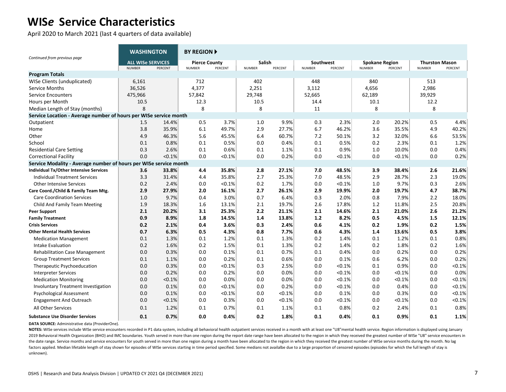April 2020 to March 2021 (last 4 quarters of data available)

|                                                                   | <b>WASHINGTON</b>                         |         | <b>BY REGION</b>                      |         |                                |         |                            |           |                                        |           |                                        |         |
|-------------------------------------------------------------------|-------------------------------------------|---------|---------------------------------------|---------|--------------------------------|---------|----------------------------|-----------|----------------------------------------|-----------|----------------------------------------|---------|
| Continued from previous page                                      | <b>ALL WISe SERVICES</b><br><b>NUMBER</b> | PERCENT | <b>Pierce County</b><br><b>NUMBER</b> | PERCENT | <b>Salish</b><br><b>NUMBER</b> | PERCENT | Southwest<br><b>NUMBER</b> | PERCENT   | <b>Spokane Region</b><br><b>NUMBER</b> | PERCENT   | <b>Thurston Mason</b><br><b>NUMBER</b> | PERCENT |
| <b>Program Totals</b>                                             |                                           |         |                                       |         |                                |         |                            |           |                                        |           |                                        |         |
| WISe Clients (unduplicated)                                       | 6,161                                     |         | 712                                   |         | 402                            |         | 448                        |           | 840                                    |           | 513                                    |         |
| Service Months                                                    | 36,526                                    |         | 4,377                                 |         | 2,251                          |         | 3,112                      |           | 4,656                                  |           | 2,986                                  |         |
| <b>Service Encounters</b>                                         | 475,966                                   |         | 57,842                                |         | 29,748                         |         | 52,665                     |           | 62,189                                 |           | 39,929                                 |         |
| Hours per Month                                                   | 10.5                                      |         | 12.3                                  |         | 10.5                           |         | 14.4                       |           | 10.1                                   |           | 12.2                                   |         |
| Median Length of Stay (months)                                    | 8                                         |         | 8                                     |         | 8                              |         | 11                         |           | 8                                      |           | 8                                      |         |
| Service Location - Average number of hours per WISe service month |                                           |         |                                       |         |                                |         |                            |           |                                        |           |                                        |         |
| Outpatient                                                        | 1.5                                       | 14.4%   | 0.5                                   | 3.7%    | 1.0                            | 9.9%    | 0.3                        | 2.3%      | 2.0                                    | 20.2%     | 0.5                                    | 4.4%    |
| Home                                                              | 3.8                                       | 35.9%   | 6.1                                   | 49.7%   | 2.9                            | 27.7%   | 6.7                        | 46.2%     | 3.6                                    | 35.5%     | 4.9                                    | 40.2%   |
| Other                                                             | 4.9                                       | 46.3%   | 5.6                                   | 45.5%   | 6.4                            | 60.7%   | 7.2                        | 50.1%     | 3.2                                    | 32.0%     | 6.6                                    | 53.5%   |
| School                                                            | 0.1                                       | 0.8%    | 0.1                                   | 0.5%    | 0.0                            | 0.4%    | 0.1                        | 0.5%      | 0.2                                    | 2.3%      | 0.1                                    | 1.2%    |
| <b>Residential Care Setting</b>                                   | 0.3                                       | 2.6%    | 0.1                                   | 0.6%    | 0.1                            | 1.1%    | 0.1                        | 0.9%      | 1.0                                    | 10.0%     | 0.0                                    | 0.4%    |
| <b>Correctional Facility</b>                                      | 0.0                                       | < 0.1%  | 0.0                                   | < 0.1%  | 0.0                            | 0.2%    | 0.0                        | < 0.1%    | 0.0                                    | < 0.1%    | 0.0                                    | 0.2%    |
| Service Modality - Average number of hours per WISe service month |                                           |         |                                       |         |                                |         |                            |           |                                        |           |                                        |         |
| Individual Tx/Other Intensive Services                            | 3.6                                       | 33.8%   | 4.4                                   | 35.8%   | 2.8                            | 27.1%   | 7.0                        | 48.5%     | 3.9                                    | 38.4%     | 2.6                                    | 21.6%   |
| <b>Individual Treatment Services</b>                              | 3.3                                       | 31.4%   | 4.4                                   | 35.8%   | 2.7                            | 25.3%   | 7.0                        | 48.5%     | 2.9                                    | 28.7%     | 2.3                                    | 19.0%   |
| <b>Other Intensive Services</b>                                   | 0.2                                       | 2.4%    | 0.0                                   | < 0.1%  | 0.2                            | 1.7%    | 0.0                        | < 0.1%    | 1.0                                    | 9.7%      | 0.3                                    | 2.6%    |
| Care Coord./Child & Family Team Mtg.                              | 2.9                                       | 27.9%   | 2.0                                   | 16.1%   | 2.7                            | 26.1%   | 2.9                        | 19.9%     | 2.0                                    | 19.7%     | 4.7                                    | 38.7%   |
| <b>Care Coordination Services</b>                                 | 1.0                                       | 9.7%    | 0.4                                   | 3.0%    | 0.7                            | 6.4%    | 0.3                        | 2.0%      | 0.8                                    | 7.9%      | 2.2                                    | 18.0%   |
| Child And Family Team Meeting                                     | 1.9                                       | 18.3%   | 1.6                                   | 13.1%   | 2.1                            | 19.7%   | 2.6                        | 17.8%     | 1.2                                    | 11.8%     | 2.5                                    | 20.8%   |
| <b>Peer Support</b>                                               | 2.1                                       | 20.2%   | 3.1                                   | 25.3%   | 2.2                            | 21.1%   | 2.1                        | 14.6%     | 2.1                                    | 21.0%     | 2.6                                    | 21.2%   |
| <b>Family Treatment</b>                                           | 0.9                                       | 8.9%    | 1.8                                   | 14.5%   | 1.4                            | 13.8%   | $1.2$                      | 8.2%      | 0.5                                    | 4.5%      | 1.5                                    | 12.1%   |
| <b>Crisis Services</b>                                            | 0.2                                       | 2.1%    | 0.4                                   | 3.6%    | 0.3                            | 2.4%    | 0.6                        | 4.1%      | 0.2                                    | 1.9%      | 0.2                                    | 1.5%    |
| <b>Other Mental Health Services</b>                               | 0.7                                       | 6.3%    | 0.5                                   | 4.3%    | 0.8                            | 7.7%    | 0.6                        | 4.3%      | 1.4                                    | 13.6%     | 0.5                                    | 3.8%    |
| <b>Medication Management</b>                                      | 0.1                                       | 1.3%    | 0.1                                   | 1.2%    | 0.1                            | 1.3%    | 0.2                        | 1.4%      | 0.1                                    | 1.2%      | 0.1                                    | 0.8%    |
| Intake Evaluation                                                 | 0.2                                       | 1.6%    | 0.2                                   | 1.5%    | 0.1                            | 1.3%    | 0.2                        | 1.4%      | 0.2                                    | 1.8%      | 0.2                                    | 1.6%    |
| <b>Rehabilitation Case Management</b>                             | 0.0                                       | 0.3%    | 0.0                                   | 0.1%    | 0.1                            | 0.7%    | 0.1                        | 0.4%      | 0.0                                    | 0.2%      | 0.0                                    | 0.2%    |
| <b>Group Treatment Services</b>                                   | 0.1                                       | 1.1%    | 0.0                                   | 0.2%    | 0.1                            | 0.6%    | 0.0                        | 0.1%      | 0.6                                    | 6.2%      | 0.0                                    | 0.2%    |
| Therapeutic Psychoeducation                                       | 0.0                                       | 0.3%    | 0.0                                   | < 0.1%  | 0.3                            | 2.5%    | 0.0                        | $< 0.1\%$ | 0.1                                    | 0.9%      | 0.0                                    | < 0.1%  |
| <b>Interpreter Services</b>                                       | 0.0                                       | 0.2%    | 0.0                                   | 0.2%    | 0.0                            | 0.0%    | 0.0                        | < 0.1%    | 0.0                                    | $< 0.1\%$ | 0.0                                    | 0.0%    |
| <b>Medication Monitoring</b>                                      | 0.0                                       | < 0.1%  | 0.0                                   | 0.0%    | 0.0                            | 0.0%    | 0.0                        | < 0.1%    | 0.0                                    | < 0.1%    | 0.0                                    | < 0.1%  |
| <b>Involuntary Treatment Investigation</b>                        | 0.0                                       | 0.1%    | 0.0                                   | < 0.1%  | 0.0                            | 0.2%    | 0.0                        | < 0.1%    | 0.0                                    | 0.4%      | 0.0                                    | < 0.1%  |
| <b>Psychological Assessment</b>                                   | 0.0                                       | 0.1%    | 0.0                                   | < 0.1%  | 0.0                            | < 0.1%  | 0.0                        | 0.1%      | 0.0                                    | 0.3%      | 0.0                                    | < 0.1%  |
| <b>Engagement And Outreach</b>                                    | 0.0                                       | < 0.1%  | 0.0                                   | 0.3%    | 0.0                            | < 0.1%  | 0.0                        | < 0.1%    | 0.0                                    | <0.1%     | 0.0                                    | < 0.1%  |
| All Other Services                                                | 0.1                                       | 1.2%    | 0.1                                   | 0.7%    | 0.1                            | 1.1%    | 0.1                        | 0.8%      | 0.2                                    | 2.4%      | 0.1                                    | 0.8%    |
| <b>Substance Use Disorder Services</b>                            | 0.1                                       | 0.7%    | 0.0                                   | 0.4%    | 0.2                            | 1.8%    | 0.1                        | 0.4%      | 0.1                                    | 0.9%      | 0.1                                    | 1.1%    |

**DATA SOURCE:** Administrative data (ProviderOne).

NOTES: WISe services include WISe service encounters recorded in P1 data system, including all behavioral health outpatient services received in a month with at least one "U8"mental health service. Region information is di 2019 Behavioral Health Organization (BHO) and IMC boundaries. Youth served in more than one region during the report date range have been allocated to the region in which they received the greatest number of WISe "U8" serv the date range. Service months and service encounters for youth served in more than one region during a month have been allocated to the region in which they received the greatest number of WISe service months during the m factors applied. Median lifetable length of stay shown for episodes of WISe services starting in time period specified. Some medians not availalbe due to a large proportion of censored episodes (episodes for which the full unknown).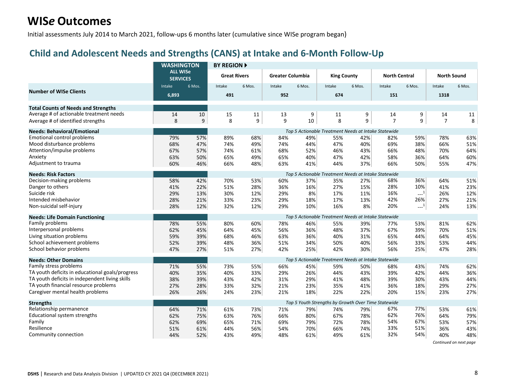Initial assessments July 2014 to March 2021, follow-ups 6 months later (cumulative since WISe program began)

#### **Child and Adolescent Needs and Strengths (CANS) at Intake and 6-Month Follow-Up**

|                                                 | <b>WASHINGTON</b>                  |        | <b>BY REGION A</b>  |        |                         |        |                                                      |        |                      |                             |                    |        |
|-------------------------------------------------|------------------------------------|--------|---------------------|--------|-------------------------|--------|------------------------------------------------------|--------|----------------------|-----------------------------|--------------------|--------|
|                                                 | <b>ALL WISe</b><br><b>SERVICES</b> |        | <b>Great Rivers</b> |        | <b>Greater Columbia</b> |        | <b>King County</b>                                   |        | <b>North Central</b> |                             | <b>North Sound</b> |        |
|                                                 | Intake                             | 6 Mos. | Intake              | 6 Mos. | Intake                  | 6 Mos. | Intake                                               | 6 Mos. | Intake               | 6 Mos.                      | Intake             | 6 Mos. |
| <b>Number of WISe Clients</b>                   | 6,893                              |        | 491                 |        | 952                     |        | 674                                                  |        | 151                  |                             | 1318               |        |
| <b>Total Counts of Needs and Strengths</b>      |                                    |        |                     |        |                         |        |                                                      |        |                      |                             |                    |        |
| Average # of actionable treatment needs         | 14                                 | 10     | 15                  | 11     | 13                      | 9      | 11                                                   | 9      | 14                   | 9                           | 14                 | 11     |
| Average # of identified strengths               | 8                                  | 9      | 8                   | 9      | 9                       | 10     | 8                                                    | 9      | $\overline{7}$       | 9                           | $\overline{7}$     | 8      |
| <b>Needs: Behavioral/Emotional</b>              |                                    |        |                     |        |                         |        | Top 5 Actionable Treatment Needs at Intake Statewide |        |                      |                             |                    |        |
| <b>Emotional control problems</b>               | 79%                                | 57%    | 89%                 | 68%    | 84%                     | 49%    | 55%                                                  | 42%    | 82%                  | 59%                         | 78%                | 63%    |
| Mood disturbance problems                       | 68%                                | 47%    | 74%                 | 49%    | 74%                     | 44%    | 47%                                                  | 40%    | 69%                  | 38%                         | 66%                | 51%    |
| Attention/impulse problems                      | 67%                                | 57%    | 74%                 | 61%    | 68%                     | 52%    | 46%                                                  | 43%    | 66%                  | 48%                         | 70%                | 64%    |
| Anxiety                                         | 63%                                | 50%    | 65%                 | 49%    | 65%                     | 40%    | 47%                                                  | 42%    | 58%                  | 36%                         | 64%                | 60%    |
| Adjustment to trauma                            | 60%                                | 46%    | 66%                 | 48%    | 63%                     | 41%    | 44%                                                  | 37%    | 66%                  | 50%                         | 55%                | 47%    |
| <b>Needs: Risk Factors</b>                      |                                    |        |                     |        |                         |        | Top 5 Actionable Treatment Needs at Intake Statewide |        |                      |                             |                    |        |
| Decision-making problems                        | 58%                                | 42%    | 70%                 | 53%    | 60%                     | 37%    | 35%                                                  | 27%    | 68%                  | 36%                         | 64%                | 51%    |
| Danger to others                                | 41%                                | 22%    | 51%                 | 28%    | 36%                     | 16%    | 27%                                                  | 15%    | 28%                  | 10%                         | 41%                | 23%    |
| Suicide risk                                    | 29%                                | 13%    | 30%                 | 12%    | 29%                     | 8%     | 17%                                                  | 11%    | 16%                  | $\mathbb{H}^{\mathbb{Z}^1}$ | 26%                | 12%    |
| Intended misbehavior                            | 28%                                | 21%    | 33%                 | 23%    | 29%                     | 18%    | 17%                                                  | 13%    | 42%                  | 26%                         | 27%                | 21%    |
| Non-suicidal self-injury                        | 28%                                | 12%    | 32%                 | 12%    | 29%                     | 10%    | 16%                                                  | 8%     | 20%                  | $\sim$ <sup>1</sup>         | 24%                | 13%    |
| <b>Needs: Life Domain Functioning</b>           |                                    |        |                     |        |                         |        | Top 5 Actionable Treatment Needs at Intake Statewide |        |                      |                             |                    |        |
| Family problems                                 | 78%                                | 55%    | 80%                 | 60%    | 78%                     | 46%    | 55%                                                  | 39%    | 77%                  | 53%                         | 81%                | 62%    |
| Interpersonal problems                          | 62%                                | 45%    | 64%                 | 45%    | 56%                     | 36%    | 48%                                                  | 37%    | 67%                  | 39%                         | 70%                | 51%    |
| Living situation problems                       | 59%                                | 39%    | 68%                 | 46%    | 63%                     | 36%    | 40%                                                  | 31%    | 65%                  | 44%                         | 64%                | 45%    |
| School achievement problems                     | 52%                                | 39%    | 48%                 | 36%    | 51%                     | 34%    | 50%                                                  | 40%    | 56%                  | 33%                         | 53%                | 44%    |
| School behavior problems                        | 47%                                | 27%    | 51%                 | 27%    | 42%                     | 25%    | 42%                                                  | 30%    | 56%                  | 25%                         | 47%                | 28%    |
| <b>Needs: Other Domains</b>                     |                                    |        |                     |        |                         |        | Top 5 Actionable Treatment Needs at Intake Statewide |        |                      |                             |                    |        |
| Family stress problems                          | 71%                                | 55%    | 73%                 | 55%    | 66%                     | 45%    | 59%                                                  | 50%    | 68%                  | 43%                         | 74%                | 62%    |
| TA youth deficits in educational goals/progress | 40%                                | 35%    | 40%                 | 33%    | 29%                     | 26%    | 44%                                                  | 43%    | 39%                  | 42%                         | 44%                | 36%    |
| TA youth deficits in independent living skills  | 38%                                | 39%    | 43%                 | 42%    | 31%                     | 29%    | 41%                                                  | 48%    | 39%                  | 30%                         | 43%                | 44%    |
| TA youth financial resource problems            | 27%                                | 28%    | 33%                 | 32%    | 21%                     | 23%    | 35%                                                  | 41%    | 36%                  | 18%                         | 29%                | 27%    |
| Caregiver mental health problems                | 26%                                | 26%    | 24%                 | 23%    | 21%                     | 18%    | 22%                                                  | 22%    | 20%                  | 15%                         | 23%                | 27%    |
| <b>Strengths</b>                                |                                    |        |                     |        |                         |        | Top 5 Youth Strengths by Growth Over Time Statewide  |        |                      |                             |                    |        |
| Relationship permanence                         | 64%                                | 71%    | 61%                 | 73%    | 71%                     | 79%    | 74%                                                  | 79%    | 67%                  | 77%                         | 53%                | 61%    |
| Educational system strengths                    | 62%                                | 75%    | 63%                 | 76%    | 66%                     | 80%    | 67%                                                  | 78%    | 62%                  | 76%                         | 64%                | 79%    |
| Family                                          | 62%                                | 69%    | 65%                 | 71%    | 69%                     | 79%    | 72%                                                  | 78%    | 54%                  | 67%                         | 53%                | 57%    |
| Resilience                                      | 51%                                | 61%    | 44%                 | 56%    | 54%                     | 70%    | 66%                                                  | 74%    | 33%                  | 51%                         | 36%                | 43%    |
| Community connection                            | 44%                                | 52%    | 43%                 | 49%    | 48%                     | 61%    | 49%                                                  | 61%    | 32%                  | 54%                         | 40%                | 48%    |

*Continued on next page*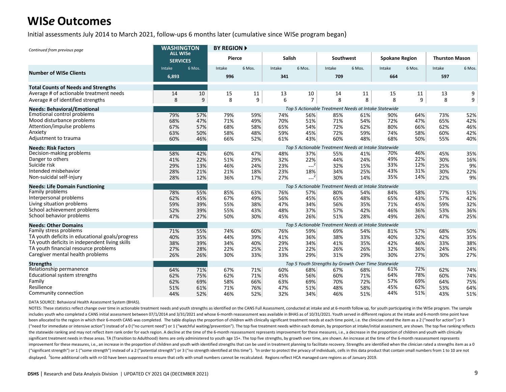Initial assessments July 2014 to March 2021, follow-ups 6 months later (cumulative since WISe program began)

| Continued from previous page                                                           | <b>WASHINGTON</b>                  |            | <b>BY REGION A</b> |            |               |                |                                                      |            |                       |            |                       |            |
|----------------------------------------------------------------------------------------|------------------------------------|------------|--------------------|------------|---------------|----------------|------------------------------------------------------|------------|-----------------------|------------|-----------------------|------------|
|                                                                                        | <b>ALL WISe</b><br><b>SERVICES</b> |            | Pierce             |            | <b>Salish</b> |                | Southwest                                            |            | <b>Spokane Region</b> |            | <b>Thurston Mason</b> |            |
| <b>Number of WISe Clients</b>                                                          | Intake                             | 6 Mos.     | Intake             | 6 Mos.     | Intake        | 6 Mos.         | Intake                                               | 6 Mos.     | Intake                | 6 Mos.     | Intake                | 6 Mos.     |
|                                                                                        | 6,893                              |            | 996                |            | 341           |                | 709                                                  |            | 664                   |            | 597                   |            |
| <b>Total Counts of Needs and Strengths</b>                                             |                                    |            |                    |            |               |                |                                                      |            |                       |            |                       |            |
| Average # of actionable treatment needs                                                | 14                                 | 10         | 15                 | 11         | 13            | 10             | 14                                                   | 11         | 15                    | 11         | 13                    | 9          |
| Average # of identified strengths                                                      | 8                                  | 9          | 8                  | 9          | 6             | $\overline{7}$ | 8                                                    | 8          | 8                     | 9          | 8                     | 9          |
| <b>Needs: Behavioral/Emotional</b>                                                     |                                    |            |                    |            |               |                | Top 5 Actionable Treatment Needs at Intake Statewide |            |                       |            |                       |            |
| <b>Emotional control problems</b>                                                      | 79%                                | 57%        | 79%                | 59%        | 74%           | 56%            | 85%                                                  | 61%        | 90%                   | 64%        | 73%                   | 52%        |
| Mood disturbance problems<br>Attention/impulse problems                                | 68%                                | 47%        | 71%                | 49%        | 70%           | 51%            | 71%                                                  | 54%        | 72%                   | 47%        | 65%                   | 42%        |
| Anxiety                                                                                | 67%<br>63%                         | 57%<br>50% | 68%<br>58%         | 58%<br>48% | 65%<br>59%    | 54%<br>45%     | 72%<br>72%                                           | 62%<br>59% | 80%<br>74%            | 66%<br>58% | 62%<br>60%            | 46%<br>42% |
| Adjustment to trauma                                                                   | 60%                                | 46%        | 66%                | 52%        | 61%           | 43%            | 60%                                                  | 48%        | 68%                   | 50%        | 55%                   | 40%        |
|                                                                                        |                                    |            |                    |            |               |                |                                                      |            |                       |            |                       |            |
| <b>Needs: Risk Factors</b><br>Decision-making problems                                 |                                    |            |                    |            |               |                | Top 5 Actionable Treatment Needs at Intake Statewide |            | 70%                   | 46%        |                       |            |
| Danger to others                                                                       | 58%<br>41%                         | 42%<br>22% | 60%<br>51%         | 47%<br>29% | 48%<br>32%    | 37%<br>22%     | 55%<br>44%                                           | 41%<br>24% | 49%                   | 22%        | 45%<br>30%            | 35%<br>16% |
| Suicide risk                                                                           | 29%                                | 13%        | 46%                | 24%        | 23%           | $-2$           | 32%                                                  | 15%        | 33%                   | 12%        | 25%                   | 9%         |
| Intended misbehavior                                                                   | 28%                                | 21%        | 21%                | 18%        | 23%           | 18%            | 34%                                                  | 25%        | 43%                   | 31%        | 30%                   | 22%        |
| Non-suicidal self-injury                                                               | 28%                                | 12%        | 36%                | 17%        | 27%           | $-2$           | 30%                                                  | 14%        | 35%                   | 14%        | 22%                   | 9%         |
| <b>Needs: Life Domain Functioning</b>                                                  |                                    |            |                    |            |               |                | Top 5 Actionable Treatment Needs at Intake Statewide |            |                       |            |                       |            |
| Family problems                                                                        | 78%                                | 55%        | 85%                | 63%        | 76%           | 57%            | 80%                                                  | 54%        | 84%                   | 58%        | 77%                   | 51%        |
| Interpersonal problems                                                                 | 62%                                | 45%        | 67%                | 49%        | 56%           | 45%            | 65%                                                  | 48%        | 65%                   | 43%        | 57%                   | 42%        |
| Living situation problems                                                              | 59%                                | 39%        | 55%                | 38%        | 47%           | 34%            | 56%                                                  | 35%        | 71%                   | 45%        | 59%                   | 32%        |
| School achievement problems                                                            | 52%                                | 39%        | 55%                | 43%        | 48%           | 37%            | 57%                                                  | 42%        | 46%                   | 36%        | 53%                   | 36%        |
| School behavior problems                                                               | 47%                                | 27%        | 50%                | 30%        | 45%           | 26%            | 51%                                                  | 28%        | 49%                   | 26%        | 47%                   | 25%        |
| <b>Needs: Other Domains</b>                                                            |                                    |            |                    |            |               |                | Top 5 Actionable Treatment Needs at Intake Statewide |            |                       |            |                       |            |
| Family stress problems                                                                 | 71%                                | 55%        | 74%                | 60%        | 76%           | 59%            | 69%                                                  | 54%        | 81%                   | 57%        | 68%                   | 50%        |
| TA youth deficits in educational goals/progress                                        | 40%                                | 35%        | 44%                | 39%        | 41%           | 36%            | 38%                                                  | 33%        | 40%                   | 32%        | 42%                   | 35%        |
| TA youth deficits in independent living skills<br>TA youth financial resource problems | 38%                                | 39%        | 34%                | 40%        | 29%           | 34%            | 41%                                                  | 35%        | 42%                   | 46%        | 33%                   | 38%        |
| Caregiver mental health problems                                                       | 27%<br>26%                         | 28%<br>26% | 22%<br>30%         | 25%<br>33% | 21%<br>33%    | 22%<br>29%     | 26%<br>31%                                           | 26%<br>29% | 32%<br>30%            | 36%<br>27% | 24%<br>30%            | 24%<br>27% |
|                                                                                        |                                    |            |                    |            |               |                |                                                      |            |                       |            |                       |            |
| <b>Strengths</b>                                                                       |                                    |            |                    |            |               |                | Top 5 Youth Strengths by Growth Over Time Statewide  |            | 61%                   | 72%        |                       |            |
| Relationship permanence<br>Educational system strengths                                | 64%                                | 71%        | 67%                | 71%        | 60%           | 68%            | 67%                                                  | 68%        | 64%                   | 78%        | 62%                   | 74%        |
| Family                                                                                 | 62%<br>62%                         | 75%<br>69% | 62%<br>58%         | 71%<br>66% | 45%<br>63%    | 56%<br>69%     | 60%<br>70%                                           | 71%<br>72% | 57%                   | 69%        | 60%<br>64%            | 74%<br>75% |
| Resilience                                                                             | 51%                                | 61%        | 71%                | 76%        | 47%           | 51%            | 48%                                                  | 58%        | 45%                   | 62%        | 53%                   | 64%        |
| Community connection                                                                   | 44%                                | 52%        | 46%                | 52%        | 32%           | 34%            | 46%                                                  | 51%        | 44%                   | 51%        | 43%                   | 51%        |

DATA SOURCE: Behavioral Health Assessment System (BHAS).

NOTES: These statistics reflect change over time in actionable treatment needs and youth strengths as identified on the CANS Full Assessment, conducted at intake and at 6-month follow up, for youth participating in the WIS includes youth who completed a CANS initial assessment between 07/1/2014 and 3/31/2021 and whose 6-month reassessment was available in BHAS as of 10/31/2021. Youth served in different regions at the intake and 6-month time been allocated to the region in which their 6-month CANS was completed. The table displays the proportion of children with clinically significant treatment needs at each time point, i.e. the clinician rated the item as a 2 ("need for immediate or intensive action") instead of a 0 ("no current need") or 1 ("watchful waiting/prevention"). The top five treatment needs within each domain, by proportion at intake/initial assessment, are shown. Th the statewide ranking and may not reflect item rank order for each region. A decline at the time of the 6-month reassessment represents improvement for these measures, i.e., a decrease in the proportion of children and you significant treatment needs in these areas. TA (Transition to Adulthood) items are only administered to youth age 15+. The top five strengths, by growth over time, are shown. An increase at the time of the 6-month reassess improvement for these measures, i.e., an increase in the proportion of children and youth with identified strengths that can be used in treatment planning to facilitate recovery. Strengths are identified when the clinician ("significant strength") or 1 ("some strength") instead of a 2 ("potential strength") or 3 ("no strength identified at this time"). In order to protect the privacy of individuals, cells in this data product that contain sm displayed. <sup>2</sup>Some additional cells with n>10 have been suppressed to ensure that cells with small numbers cannot be recalculated. Regions reflect HCA managed care regions as of January 2019.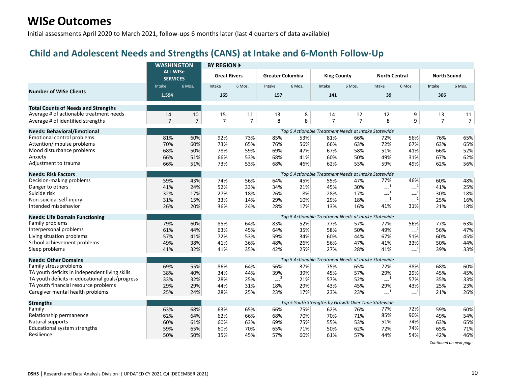Initial assessments April 2020 to March 2021, follow-ups 6 months later (last 4 quarters of data available)

#### **Child and Adolescent Needs and Strengths (CANS) at Intake and 6-Month Follow-Up**

|                                                 | <b>WASHINGTON</b>                  |                | <b>BY REGION ▶</b>  |                |                         |        |                    |                |                                                       |                                              |                    |                |
|-------------------------------------------------|------------------------------------|----------------|---------------------|----------------|-------------------------|--------|--------------------|----------------|-------------------------------------------------------|----------------------------------------------|--------------------|----------------|
|                                                 | <b>ALL WISe</b><br><b>SERVICES</b> |                | <b>Great Rivers</b> |                | <b>Greater Columbia</b> |        | <b>King County</b> |                | <b>North Central</b>                                  |                                              | <b>North Sound</b> |                |
| <b>Number of WISe Clients</b>                   | Intake                             | 6 Mos.         | Intake              | 6 Mos.         | Intake                  | 6 Mos. | Intake             | 6 Mos.         | Intake                                                | 6 Mos.                                       | Intake             | 6 Mos.         |
|                                                 | 1,594                              |                | 165                 |                | 157                     |        | 141                |                | 39                                                    |                                              | 306                |                |
| <b>Total Counts of Needs and Strengths</b>      |                                    |                |                     |                |                         |        |                    |                |                                                       |                                              |                    |                |
| Average # of actionable treatment needs         | 14                                 | $10\,$         | 15                  | 11             | 13                      | 8      | 14                 | 12             | 12                                                    | 9                                            | 13                 | 11             |
| Average # of identified strengths               | $\overline{7}$                     | $\overline{7}$ | $\overline{7}$      | $\overline{7}$ | 8                       | 8      | $\overline{7}$     | $\overline{7}$ | 8                                                     | 9                                            | $\overline{7}$     | $\overline{7}$ |
| <b>Needs: Behavioral/Emotional</b>              |                                    |                |                     |                |                         |        |                    |                | Top 5 Actionable Treatment Needs at Intake Statewide  |                                              |                    |                |
| Emotional control problems                      | 81%                                | 60%            | 92%                 | 73%            | 85%                     | 53%    | 81%                | 66%            | 72%                                                   | 56%                                          | 76%                | 65%            |
| Attention/impulse problems                      | 70%                                | 60%            | 73%                 | 65%            | 76%                     | 56%    | 66%                | 63%            | 72%                                                   | 67%                                          | 63%                | 65%            |
| Mood disturbance problems                       | 68%                                | 50%            | 78%                 | 59%            | 69%                     | 47%    | 67%                | 58%            | 51%                                                   | 41%                                          | 66%                | 52%            |
| Anxiety                                         | 66%                                | 51%            | 66%                 | 53%            | 68%                     | 41%    | 60%                | 50%            | 49%                                                   | 31%                                          | 67%                | 62%            |
| Adjustment to trauma                            | 66%                                | 51%            | 73%                 | 53%            | 68%                     | 46%    | 62%                | 53%            | 59%                                                   | 49%                                          | 62%                | 56%            |
| <b>Needs: Risk Factors</b>                      |                                    |                |                     |                |                         |        |                    |                | Top 5 Actionable Treatment Needs at Intake Statewide  |                                              |                    |                |
| Decision-making problems                        | 59%                                | 43%            | 74%                 | 56%            | 64%                     | 45%    | 55%                | 47%            | 77%                                                   | 46%                                          | 60%                | 48%            |
| Danger to others                                | 41%                                | 24%            | 52%                 | 33%            | 34%                     | 21%    | 45%                | 30%            | $\sim$ <sup>1</sup>                                   | $\textcolor{red}{\mathbf{---}^{\mathbf{1}}}$ | 41%                | 25%            |
| Suicide risk                                    | 32%                                | 17%            | 27%                 | 18%            | 26%                     | 8%     | 28%                | 17%            | $\sim$ <sup>1</sup>                                   | $\textcolor{blue}{\mathbf{1} \mathbf{1}}$    | 30%                | 18%            |
| Non-suicidal self-injury                        | 31%                                | 15%            | 33%                 | 14%            | 29%                     | 10%    | 29%                | 18%            | $-1$                                                  | $\textcolor{red}{\mathbf{---}^{\mathbf{1}}}$ | 25%                | 16%            |
| Intended misbehavior                            | 26%                                | 20%            | 36%                 | 24%            | 28%                     | 17%    | 13%                | 16%            | 41%                                                   | 31%                                          | 21%                | 18%            |
| <b>Needs: Life Domain Functioning</b>           |                                    |                |                     |                |                         |        |                    |                | Top 5 Actionable Treatment Needs at Intake Statewide  |                                              |                    |                |
| Family problems                                 | 79%                                | 60%            | 85%                 | 64%            | 83%                     | 52%    | 77%                | 57%            | 77%                                                   | 56%                                          | 77%                | 63%            |
| Interpersonal problems                          | 61%                                | 44%            | 63%                 | 45%            | 64%                     | 35%    | 58%                | 50%            | 49%                                                   | $\sim$ <sup>1</sup>                          | 56%                | 47%            |
| Living situation problems                       | 57%                                | 41%            | 72%                 | 53%            | 59%                     | 34%    | 60%                | 44%            | 67%                                                   | 51%                                          | 60%                | 45%            |
| School achievement problems                     | 49%                                | 38%            | 41%                 | 36%            | 48%                     | 26%    | 56%                | 47%            | 41%                                                   | 33%                                          | 50%                | 44%            |
| Sleep problems                                  | 41%                                | 32%            | 41%                 | 35%            | 42%                     | 25%    | 27%                | 28%            | 41%                                                   | $---1$                                       | 39%                | 33%            |
| <b>Needs: Other Domains</b>                     |                                    |                |                     |                |                         |        |                    |                | Top 5 Actionable Treatment Needs at Intake Statewide  |                                              |                    |                |
| Family stress problems                          | 69%                                | 55%            | 86%                 | 64%            | 56%                     | 37%    | 75%                | 65%            | 72%                                                   | 38%                                          | 68%                | 60%            |
| TA youth deficits in independent living skills  | 38%                                | 40%            | 34%                 | 44%            | 39%                     | 39%    | 45%                | 57%            | 29%                                                   | 29%                                          | 45%                | 45%            |
| TA youth deficits in educational goals/progress | 33%                                | 32%            | 28%                 | 25%            | $--2$                   | 21%    | 57%                | 52%            | $\begin{smallmatrix} &1\\&\text{-} \end{smallmatrix}$ | 57%                                          | 35%                | 33%            |
| TA youth financial resource problems            | 29%                                | 29%            | 44%                 | 31%            | 18%                     | 29%    | 43%                | 45%            | 29%                                                   | 43%                                          | 25%                | 23%            |
| Caregiver mental health problems                | 25%                                | 24%            | 28%                 | 25%            | 23%                     | 17%    | 23%                | 23%            | $-1$                                                  | $-1$                                         | 21%                | 26%            |
| <b>Strengths</b>                                |                                    |                |                     |                |                         |        |                    |                | Top 5 Youth Strengths by Growth Over Time Statewide   |                                              |                    |                |
| Family                                          | 63%                                | 68%            | 63%                 | 65%            | 66%                     | 75%    | 62%                | 76%            | 77%                                                   | 72%                                          | 59%                | 60%            |
| Relationship permanence                         | 62%                                | 64%            | 62%                 | 66%            | 68%                     | 70%    | 70%                | 71%            | 85%                                                   | 90%                                          | 49%                | 54%            |
| Natural supports                                | 60%                                | 61%            | 60%                 | 63%            | 69%                     | 75%    | 55%                | 53%            | 51%                                                   | 74%                                          | 63%                | 65%            |
| Educational system strengths                    | 59%                                | 65%            | 60%                 | 70%            | 65%                     | 71%    | 50%                | 62%            | 72%                                                   | 74%                                          | 65%                | 71%            |
| Resilience                                      | 50%                                | 50%            | 35%                 | 45%            | 57%                     | 60%    | 61%                | 57%            | 44%                                                   | 54%                                          | 42%                | 46%            |

*Continued on next page*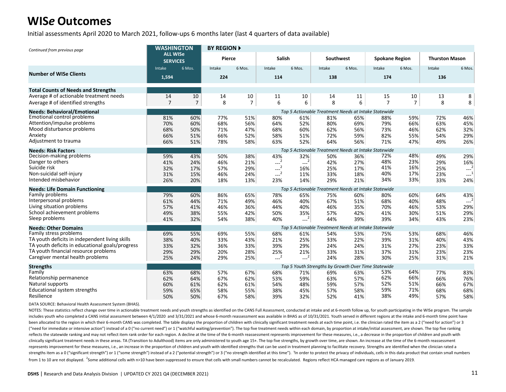Initial assessments April 2020 to March 2021, follow-ups 6 months later (last 4 quarters of data available)

| Continued from previous page                    | <b>WASHINGTON</b>                  |                | <b>BY REGION ▶</b> |                |               |        |           |        |                                                      |                |                       |                     |
|-------------------------------------------------|------------------------------------|----------------|--------------------|----------------|---------------|--------|-----------|--------|------------------------------------------------------|----------------|-----------------------|---------------------|
|                                                 | <b>ALL WISe</b><br><b>SERVICES</b> |                | Pierce             |                | <b>Salish</b> |        | Southwest |        | <b>Spokane Region</b>                                |                | <b>Thurston Mason</b> |                     |
|                                                 | Intake                             | 6 Mos.         | Intake             | 6 Mos.         | Intake        | 6 Mos. | Intake    | 6 Mos. | Intake                                               | 6 Mos.         | Intake                | 6 Mos.              |
| <b>Number of WISe Clients</b>                   | 1,594                              |                | 224                |                | 114           |        | 138       |        | 174                                                  |                | 136                   |                     |
| <b>Total Counts of Needs and Strengths</b>      |                                    |                |                    |                |               |        |           |        |                                                      |                |                       |                     |
| Average # of actionable treatment needs         | 14                                 | 10             | 14                 | 10             | 11            | 10     | 14        | 11     | 15                                                   | 10             | 13                    | 8                   |
| Average # of identified strengths               | $\overline{7}$                     | $\overline{7}$ | 8                  | $\overline{7}$ | 6             | 6      | 8         | 6      | $\overline{7}$                                       | $\overline{7}$ | 8                     | 8                   |
| <b>Needs: Behavioral/Emotional</b>              |                                    |                |                    |                |               |        |           |        | Top 5 Actionable Treatment Needs at Intake Statewide |                |                       |                     |
| <b>Emotional control problems</b>               | 81%                                | 60%            | 77%                | 51%            | 80%           | 61%    | 81%       | 65%    | 88%                                                  | 59%            | 72%                   | 46%                 |
| Attention/impulse problems                      | 70%                                | 60%            | 68%                | 56%            | 64%           | 52%    | 80%       | 69%    | 79%                                                  | 66%            | 63%                   | 45%                 |
| Mood disturbance problems                       | 68%                                | 50%            | 71%                | 47%            | 68%           | 60%    | 62%       | 56%    | 73%                                                  | 46%            | 62%                   | 32%                 |
| Anxiety                                         | 66%                                | 51%            | 66%                | 52%            | 58%           | 51%    | 72%       | 59%    | 82%                                                  | 55%            | 54%                   | 29%                 |
| Adjustment to trauma                            | 66%                                | 51%            | 78%                | 58%            | 63%           | 52%    | 64%       | 56%    | 71%                                                  | 47%            | 49%                   | 26%                 |
| <b>Needs: Risk Factors</b>                      |                                    |                |                    |                |               |        |           |        | Top 5 Actionable Treatment Needs at Intake Statewide |                |                       |                     |
| Decision-making problems                        | 59%                                | 43%            | 50%                | 38%            | 43%           | 32%    | 50%       | 36%    | 72%                                                  | 48%            | 49%                   | 29%                 |
| Danger to others                                | 41%                                | 24%            | 46%                | 21%            | $---2$        | $---2$ | 42%       | 27%    | 48%                                                  | 23%            | 29%                   | 16%                 |
| Suicide risk                                    | 32%                                | 17%            | 57%                | 29%            | $-2$          | 16%    | 25%       | 17%    | 41%                                                  | 16%            | 25%                   | $---2$              |
| Non-suicidal self-injury                        | 31%                                | 15%            | 46%                | 24%            | $-2$          | 11%    | 33%       | 18%    | 40%                                                  | 17%            | 23%                   | $\sim$ <sup>1</sup> |
| Intended misbehavior                            | 26%                                | 20%            | 18%                | 13%            | 23%           | 14%    | 29%       | 21%    | 34%                                                  | 33%            | 33%                   | 24%                 |
| <b>Needs: Life Domain Functioning</b>           |                                    |                |                    |                |               |        |           |        | Top 5 Actionable Treatment Needs at Intake Statewide |                |                       |                     |
| Family problems                                 | 79%                                | 60%            | 86%                | 65%            | 78%           | 65%    | 75%       | 60%    | 80%                                                  | 60%            | 64%                   | 43%                 |
| Interpersonal problems                          | 61%                                | 44%            | 71%                | 49%            | 46%           | 40%    | 67%       | 51%    | 68%                                                  | 40%            | 48%                   | $-2$                |
| Living situation problems                       | 57%                                | 41%            | 46%                | 36%            | 44%           | 40%    | 46%       | 35%    | 70%                                                  | 46%            | 53%                   | 29%                 |
| School achievement problems                     | 49%                                | 38%            | 55%                | 42%            | 50%           | 35%    | 57%       | 42%    | 41%                                                  | 30%            | 51%                   | 29%                 |
| Sleep problems                                  | 41%                                | 32%            | 54%                | 38%            | 40%           | $---2$ | 44%       | 39%    | 39%                                                  | 34%            | 43%                   | 23%                 |
| <b>Needs: Other Domains</b>                     |                                    |                |                    |                |               |        |           |        | Top 5 Actionable Treatment Needs at Intake Statewide |                |                       |                     |
| Family stress problems                          | 69%                                | 55%            | 69%                | 55%            | 68%           | 61%    | 54%       | 53%    | 75%                                                  | 53%            | 68%                   | 46%                 |
| TA youth deficits in independent living skills  | 38%                                | 40%            | 33%                | 43%            | 21%           | 25%    | 33%       | 22%    | 39%                                                  | 31%            | 40%                   | 43%                 |
| TA youth deficits in educational goals/progress | 33%                                | 32%            | 36%                | 33%            | 39%           | 29%    | 24%       | 24%    | 31%                                                  | 27%            | 23%                   | 33%                 |
| TA youth financial resource problems            | 29%                                | 29%            | 20%                | 28%            | 25%           | 21%    | 33%       | 31%    | 37%                                                  | 31%            | 23%                   | 23%                 |
| Caregiver mental health problems                | 25%                                | 24%            | 29%                | 25%            | $-2$          | $-2$   | 24%       | 28%    | 30%                                                  | 25%            | 31%                   | 21%                 |
| <b>Strengths</b>                                |                                    |                |                    |                |               |        |           |        | Top 5 Youth Strengths by Growth Over Time Statewide  |                |                       |                     |
| Family                                          | 63%                                | 68%            | 57%                | 67%            | 68%           | 71%    | 69%       | 63%    | 53%                                                  | 64%            | 77%                   | 83%                 |
| Relationship permanence                         | 62%                                | 64%            | 67%                | 62%            | 53%           | 59%    | 63%       | 57%    | 62%                                                  | 66%            | 66%                   | 76%                 |
| Natural supports                                | 60%                                | 61%            | 62%                | 61%            | 54%           | 48%    | 59%       | 57%    | 52%                                                  | 51%            | 66%                   | 67%                 |
| Educational system strengths                    | 59%                                | 65%            | 58%                | 55%            | 38%           | 45%    | 57%       | 58%    | 59%                                                  | 71%            | 68%                   | 68%                 |
| Resilience                                      | 50%                                | 50%            | 67%                | 58%            | 39%           | 32%    | 52%       | 41%    | 38%                                                  | 49%            | 57%                   | 58%                 |

DATA SOURCE: Behavioral Health Assessment System (BHAS).

NOTES: These statistics reflect change over time in actionable treatment needs and youth strengths as identified on the CANS Full Assessment, conducted at intake and at 6-month follow up, for youth participating in the WIS includes youth who completed a CANS initial assessment between 4/1/2020 and 3/31/2021 and whose 6-month reassessment was available in BHAS as of 10/31/2021. Youth served in different regions at the intake and 6-month time been allocated to the region in which their 6-month CANS was completed. The table displays the proportion of children with clinically significant treatment needs at each time point, i.e. the clinician rated the item as a 2 ("need for immediate or intensive action") instead of a 0 ("no current need") or 1 ("watchful waiting/prevention"). The top five treatment needs within each domain, by proportion at intake/initial assessment, are shown. Th reflects the statewide ranking and may not reflect item rank order for each region. A decline at the time of the 6-month reassessment represents improvement for these measures, i.e., a decrease in the proportion of childre clinically significant treatment needs in these areas. TA (Transition to Adulthood) items are only administered to youth age 15+. The top five strengths, by growth over time, are shown. An increase at the time of the 6-mon represents improvement for these measures, i.e., an increase in the proportion of children and youth with identified strengths that can be used in treatment planning to facilitate recovery. Strengths are identified when th strengths item as a 0 ("significant strength") or 1 ("some strength") instead of a 2 ("potential strength") or 3 ("no strength dentified at this time"). 'In order to protect the privacy of individuals, cells in this data p from 1 to 10 are not displayed. <sup>2</sup>Some additional cells with n>10 have been suppressed to ensure that cells with small numbers cannot be recalculated. Regions reflect HCA managed care regions as of January 2019.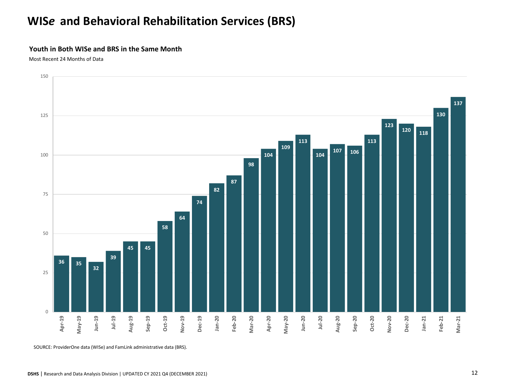# **WIS***e* **and Behavioral Rehabilitation Services (BRS)**

#### **Youth in Both WISe and BRS in the Same Month**

Most Recent 24 Months of Data



SOURCE: ProviderOne data (WISe) and FamLink administrative data (BRS).